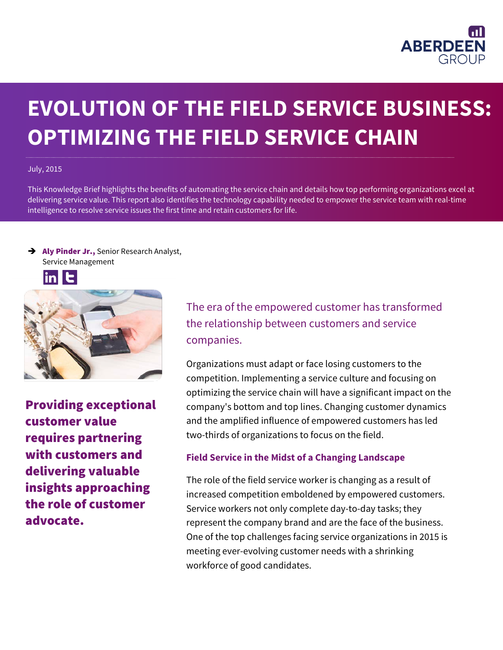

# **EVOLUTION OF THE FIELD SERVICE BUSINESS: OPTIMIZING THE FIELD SERVICE CHAIN**

#### July, 2015

This Knowledge Brief highlights the benefits of automating the service chain and details how top performing organizations excel at delivering service value. This report also identifies the technology capability needed to empower the service team with real-time intelligence to resolve service issues the first time and retain customers for life.

Aly Pinder Jr., Senior Research Analyst, Service Management





Providing exceptional customer value requires partnering with customers and delivering valuable insights approaching the role of customer advocate.

The era of the empowered customer has transformed the relationship between customers and service companies.

Organizations must adapt or face losing customers to the competition. Implementing a service culture and focusing on optimizing the service chain will have a significant impact on the company's bottom and top lines. Changing customer dynamics and the amplified influence of empowered customers has led two-thirds of organizations to focus on the field.

#### **Field Service in the Midst of a Changing Landscape**

The role of the field service worker is changing as a result of increased competition emboldened by empowered customers. Service workers not only complete day-to-day tasks; they represent the company brand and are the face of the business. One of the top challenges facing service organizations in 2015 is meeting ever-evolving customer needs with a shrinking workforce of good candidates.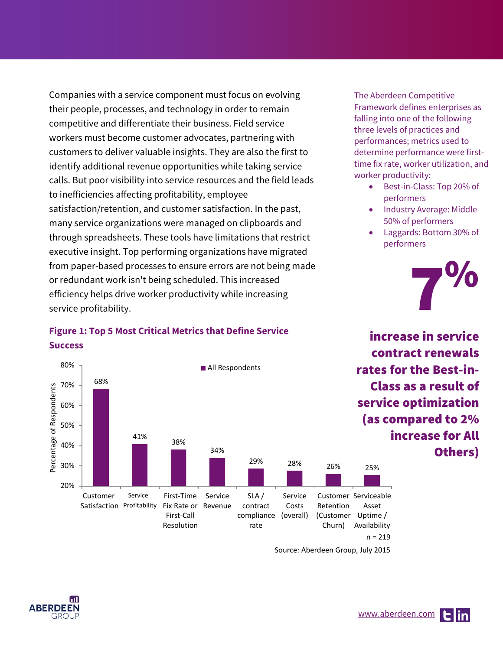Companies with a service component must focus on evolving their people, processes, and technology in order to remain competitive and differentiate their business. Field service workers must become customer advocates, partnering with customers to deliver valuable insights. They are also the first to identify additional revenue opportunities while taking service calls. But poor visibility into service resources and the field leads to inefficiencies affecting profitability, employee satisfaction/retention, and customer satisfaction. In the past, many service organizations were managed on clipboards and through spreadsheets. These tools have limitations that restrict executive insight. Top performing organizations have migrated from paper-based processes to ensure errors are not being made or redundant work isn't being scheduled. This increased efficiency helps drive worker productivity while increasing service profitability.

## **Figure 1: Top 5 Most Critical Metrics that Define Service Success**



Source: Aberdeen Group, July 2015



The Aberdeen Competitive Framework defines enterprises as falling into one of the following three levels of practices and performances; metrics used to determine performance were firsttime fix rate, worker utilization, and worker productivity:

- Best-in-Class: Top 20% of performers
- Industry Average: Middle 50% of performers
- Laggards: Bottom 30% of performers

increase in service

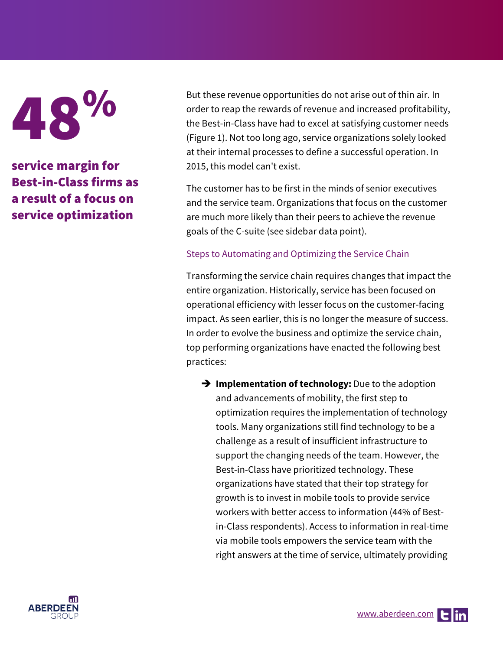48%

service margin for Best-in-Class firms as a result of a focus on service optimization

But these revenue opportunities do not arise out of thin air. In order to reap the rewards of revenue and increased profitability, the Best-in-Class have had to excel at satisfying customer needs (Figure 1). Not too long ago, service organizations solely looked at their internal processes to define a successful operation. In 2015, this model can't exist.

The customer has to be first in the minds of senior executives and the service team. Organizations that focus on the customer are much more likely than their peers to achieve the revenue goals of the C-suite (see sidebar data point).

#### Steps to Automating and Optimizing the Service Chain

Transforming the service chain requires changes that impact the entire organization. Historically, service has been focused on operational efficiency with lesser focus on the customer-facing impact. As seen earlier, this is no longer the measure of success. In order to evolve the business and optimize the service chain, top performing organizations have enacted the following best practices:

**Implementation of technology:** Due to the adoption and advancements of mobility, the first step to optimization requires the implementation of technology tools. Many organizations still find technology to be a challenge as a result of insufficient infrastructure to support the changing needs of the team. However, the Best-in-Class have prioritized technology. These organizations have stated that their top strategy for growth is to invest in mobile tools to provide service workers with better access to information (44% of Bestin-Class respondents). Access to information in real-time via mobile tools empowers the service team with the right answers at the time of service, ultimately providing

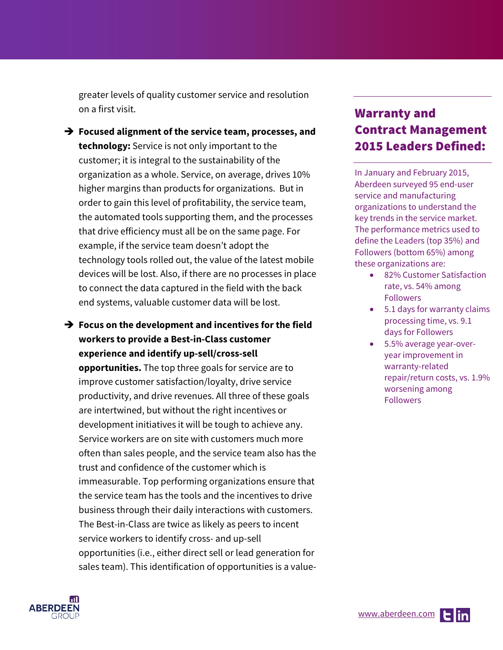greater levels of quality customer service and resolution on a first visit.

- **Focused alignment of the service team, processes, and technology:** Service is not only important to the customer; it is integral to the sustainability of the organization as a whole. Service, on average, drives 10% higher margins than products for organizations. But in order to gain this level of profitability, the service team, the automated tools supporting them, and the processes that drive efficiency must all be on the same page. For example, if the service team doesn't adopt the technology tools rolled out, the value of the latest mobile devices will be lost. Also, if there are no processes in place to connect the data captured in the field with the back end systems, valuable customer data will be lost.
- **Focus on the development and incentives for the field workers to provide a Best-in-Class customer experience and identify up-sell/cross-sell**

**opportunities.** The top three goals for service are to improve customer satisfaction/loyalty, drive service productivity, and drive revenues. All three of these goals are intertwined, but without the right incentives or development initiatives it will be tough to achieve any. Service workers are on site with customers much more often than sales people, and the service team also has the trust and confidence of the customer which is immeasurable. Top performing organizations ensure that the service team has the tools and the incentives to drive business through their daily interactions with customers. The Best-in-Class are twice as likely as peers to incent service workers to identify cross- and up-sell opportunities (i.e., either direct sell or lead generation for sales team). This identification of opportunities is a value-

# Warranty and Contract Management 2015 Leaders Defined:

In January and February 2015, Aberdeen surveyed 95 end-user service and manufacturing organizations to understand the key trends in the service market. The performance metrics used to define the Leaders (top 35%) and Followers (bottom 65%) among these organizations are:

- 82% Customer Satisfaction rate, vs. 54% among Followers
- 5.1 days for warranty claims processing time, vs. 9.1 days for Followers
- 5.5% average year-overyear improvement in warranty-related repair/return costs, vs. 1.9% worsening among Followers

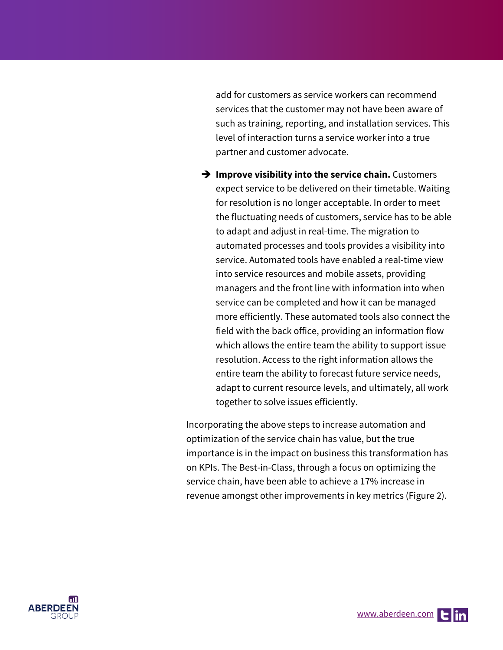add for customers as service workers can recommend services that the customer may not have been aware of such as training, reporting, and installation services. This level of interaction turns a service worker into a true partner and customer advocate.

 $\rightarrow$  Improve visibility into the service chain. Customers expect service to be delivered on their timetable. Waiting for resolution is no longer acceptable. In order to meet the fluctuating needs of customers, service has to be able to adapt and adjust in real-time. The migration to automated processes and tools provides a visibility into service. Automated tools have enabled a real-time view into service resources and mobile assets, providing managers and the front line with information into when service can be completed and how it can be managed more efficiently. These automated tools also connect the field with the back office, providing an information flow which allows the entire team the ability to support issue resolution. Access to the right information allows the entire team the ability to forecast future service needs, adapt to current resource levels, and ultimately, all work together to solve issues efficiently.

Incorporating the above steps to increase automation and optimization of the service chain has value, but the true importance is in the impact on business this transformation has on KPIs. The Best-in-Class, through a focus on optimizing the service chain, have been able to achieve a 17% increase in revenue amongst other improvements in key metrics (Figure 2).

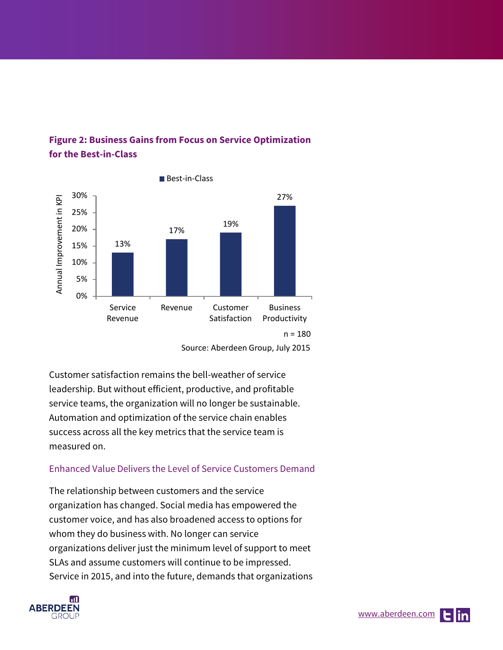

## **Figure 2: Business Gains from Focus on Service Optimization for the Best-in-Class**

Customer satisfaction remains the bell-weather of service leadership. But without efficient, productive, and profitable service teams, the organization will no longer be sustainable. Automation and optimization of the service chain enables success across all the key metrics that the service team is measured on.

### Enhanced Value Delivers the Level of Service Customers Demand

The relationship between customers and the service organization has changed. Social media has empowered the customer voice, and has also broadened access to options for whom they do business with. No longer can service organizations deliver just the minimum level of support to meet SLAs and assume customers will continue to be impressed. Service in 2015, and into the future, demands that organizations



Source: Aberdeen Group, July 2015